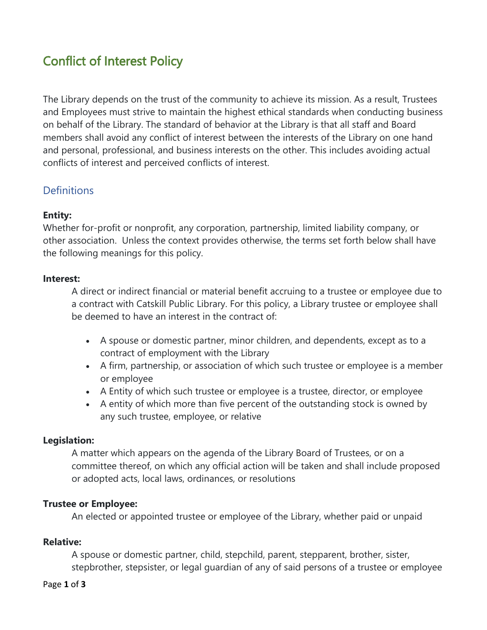# Conflict of Interest Policy

The Library depends on the trust of the community to achieve its mission. As a result, Trustees and Employees must strive to maintain the highest ethical standards when conducting business on behalf of the Library. The standard of behavior at the Library is that all staff and Board members shall avoid any conflict of interest between the interests of the Library on one hand and personal, professional, and business interests on the other. This includes avoiding actual conflicts of interest and perceived conflicts of interest.

## **Definitions**

### **Entity:**

Whether for-profit or nonprofit, any corporation, partnership, limited liability company, or other association. Unless the context provides otherwise, the terms set forth below shall have the following meanings for this policy.

#### **Interest:**

A direct or indirect financial or material benefit accruing to a trustee or employee due to a contract with Catskill Public Library. For this policy, a Library trustee or employee shall be deemed to have an interest in the contract of:

- A spouse or domestic partner, minor children, and dependents, except as to a contract of employment with the Library
- A firm, partnership, or association of which such trustee or employee is a member or employee
- A Entity of which such trustee or employee is a trustee, director, or employee
- A entity of which more than five percent of the outstanding stock is owned by any such trustee, employee, or relative

#### **Legislation:**

A matter which appears on the agenda of the Library Board of Trustees, or on a committee thereof, on which any official action will be taken and shall include proposed or adopted acts, local laws, ordinances, or resolutions

#### **Trustee or Employee:**

An elected or appointed trustee or employee of the Library, whether paid or unpaid

#### **Relative:**

A spouse or domestic partner, child, stepchild, parent, stepparent, brother, sister, stepbrother, stepsister, or legal guardian of any of said persons of a trustee or employee

#### Page **1** of **3**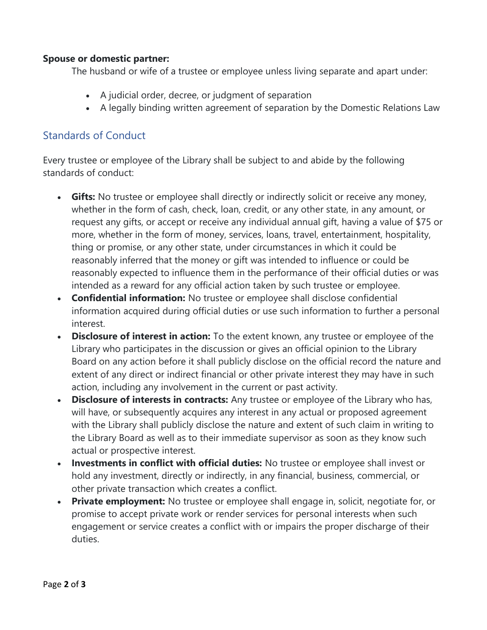### **Spouse or domestic partner:**

The husband or wife of a trustee or employee unless living separate and apart under:

- A judicial order, decree, or judgment of separation
- A legally binding written agreement of separation by the Domestic Relations Law

## Standards of Conduct

Every trustee or employee of the Library shall be subject to and abide by the following standards of conduct:

- **Gifts:** No trustee or employee shall directly or indirectly solicit or receive any money, whether in the form of cash, check, loan, credit, or any other state, in any amount, or request any gifts, or accept or receive any individual annual gift, having a value of \$75 or more, whether in the form of money, services, loans, travel, entertainment, hospitality, thing or promise, or any other state, under circumstances in which it could be reasonably inferred that the money or gift was intended to influence or could be reasonably expected to influence them in the performance of their official duties or was intended as a reward for any official action taken by such trustee or employee.
- **Confidential information:** No trustee or employee shall disclose confidential information acquired during official duties or use such information to further a personal interest.
- **Disclosure of interest in action:** To the extent known, any trustee or employee of the Library who participates in the discussion or gives an official opinion to the Library Board on any action before it shall publicly disclose on the official record the nature and extent of any direct or indirect financial or other private interest they may have in such action, including any involvement in the current or past activity.
- **Disclosure of interests in contracts:** Any trustee or employee of the Library who has, will have, or subsequently acquires any interest in any actual or proposed agreement with the Library shall publicly disclose the nature and extent of such claim in writing to the Library Board as well as to their immediate supervisor as soon as they know such actual or prospective interest.
- **Investments in conflict with official duties:** No trustee or employee shall invest or hold any investment, directly or indirectly, in any financial, business, commercial, or other private transaction which creates a conflict.
- **Private employment:** No trustee or employee shall engage in, solicit, negotiate for, or promise to accept private work or render services for personal interests when such engagement or service creates a conflict with or impairs the proper discharge of their duties.